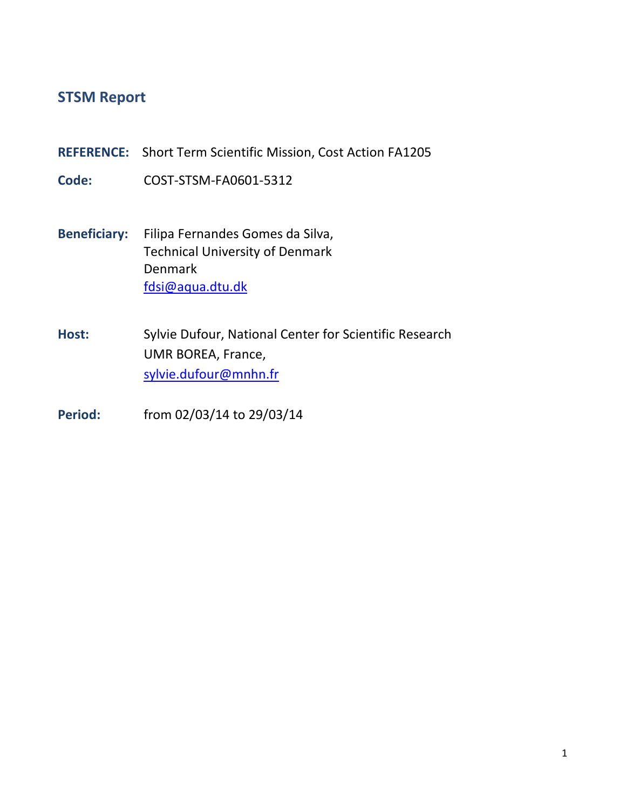# **STSM Report**

**REFERENCE:** Short Term Scientific Mission, Cost Action FA1205

**Code:** COST-STSM-FA0601-5312

- **Beneficiary:** Filipa Fernandes Gomes da Silva, Technical University of Denmark Denmark [fdsi@aqua.dtu.dk](mailto:fdsi@aqua.dtu.dk)
- **Host:** Sylvie Dufour, National Center for Scientific Research UMR BOREA, France, [sylvie.dufour@mnhn.fr](mailto:sylvie.dufour@mnhn.fr)
- **Period:** from 02/03/14 to 29/03/14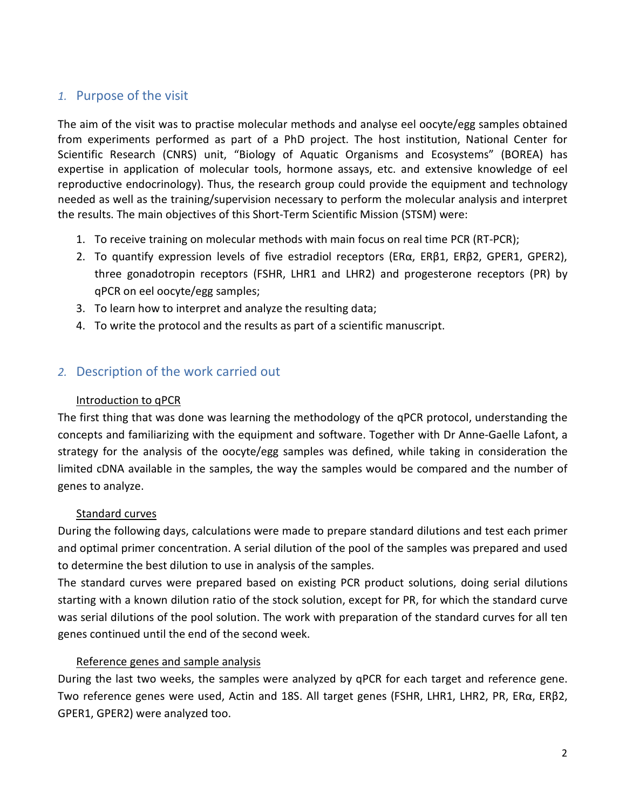# *1.* Purpose of the visit

The aim of the visit was to practise molecular methods and analyse eel oocyte/egg samples obtained from experiments performed as part of a PhD project. The host institution, National Center for Scientific Research (CNRS) unit, "Biology of Aquatic Organisms and Ecosystems" (BOREA) has expertise in application of molecular tools, hormone assays, etc. and extensive knowledge of eel reproductive endocrinology). Thus, the research group could provide the equipment and technology needed as well as the training/supervision necessary to perform the molecular analysis and interpret the results. The main objectives of this Short-Term Scientific Mission (STSM) were:

- 1. To receive training on molecular methods with main focus on real time PCR (RT-PCR);
- 2. To quantify expression levels of five estradiol receptors (ERα, ERβ1, ERβ2, GPER1, GPER2), three gonadotropin receptors (FSHR, LHR1 and LHR2) and progesterone receptors (PR) by qPCR on eel oocyte/egg samples;
- 3. To learn how to interpret and analyze the resulting data;
- 4. To write the protocol and the results as part of a scientific manuscript.

# *2.* Description of the work carried out

## Introduction to qPCR

The first thing that was done was learning the methodology of the qPCR protocol, understanding the concepts and familiarizing with the equipment and software. Together with Dr Anne-Gaelle Lafont, a strategy for the analysis of the oocyte/egg samples was defined, while taking in consideration the limited cDNA available in the samples, the way the samples would be compared and the number of genes to analyze.

## Standard curves

During the following days, calculations were made to prepare standard dilutions and test each primer and optimal primer concentration. A serial dilution of the pool of the samples was prepared and used to determine the best dilution to use in analysis of the samples.

The standard curves were prepared based on existing PCR product solutions, doing serial dilutions starting with a known dilution ratio of the stock solution, except for PR, for which the standard curve was serial dilutions of the pool solution. The work with preparation of the standard curves for all ten genes continued until the end of the second week.

## Reference genes and sample analysis

During the last two weeks, the samples were analyzed by qPCR for each target and reference gene. Two reference genes were used, Actin and 18S. All target genes (FSHR, LHR1, LHR2, PR, ERα, ERβ2, GPER1, GPER2) were analyzed too.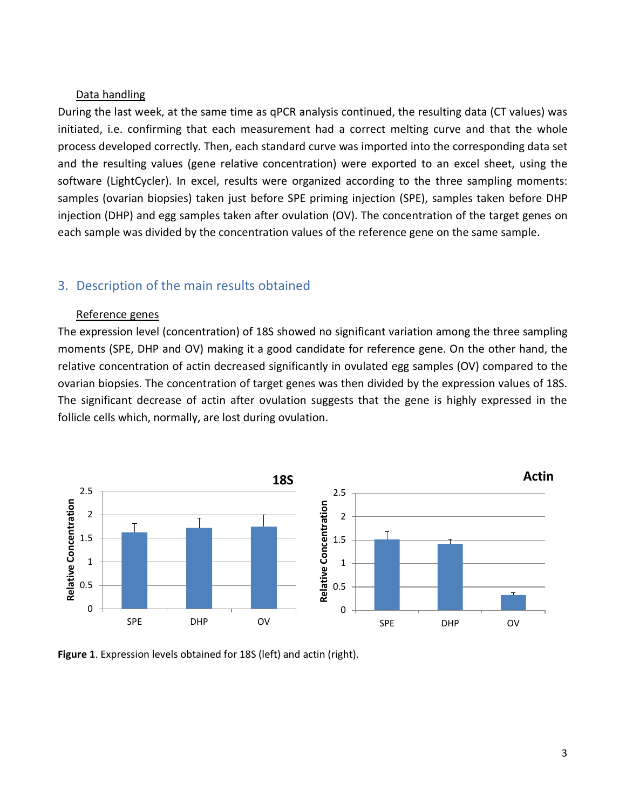#### Data handling

During the last week, at the same time as qPCR analysis continued, the resulting data (CT values) was initiated, i.e. confirming that each measurement had a correct melting curve and that the whole process developed correctly. Then, each standard curve was imported into the corresponding data set and the resulting values (gene relative concentration) were exported to an excel sheet, using the software (LightCycler). In excel, results were organized according to the three sampling moments: samples (ovarian biopsies) taken just before SPE priming injection (SPE), samples taken before DHP injection (DHP) and egg samples taken after ovulation (OV). The concentration of the target genes on each sample was divided by the concentration values of the reference gene on the same sample.

## 3. Description of the main results obtained

#### Reference genes

The expression level (concentration) of 18S showed no significant variation among the three sampling moments (SPE, DHP and OV) making it a good candidate for reference gene. On the other hand, the relative concentration of actin decreased significantly in ovulated egg samples (OV) compared to the ovarian biopsies. The concentration of target genes was then divided by the expression values of 18S. The significant decrease of actin after ovulation suggests that the gene is highly expressed in the follicle cells which, normally, are lost during ovulation.



**Figure 1**. Expression levels obtained for 18S (left) and actin (right).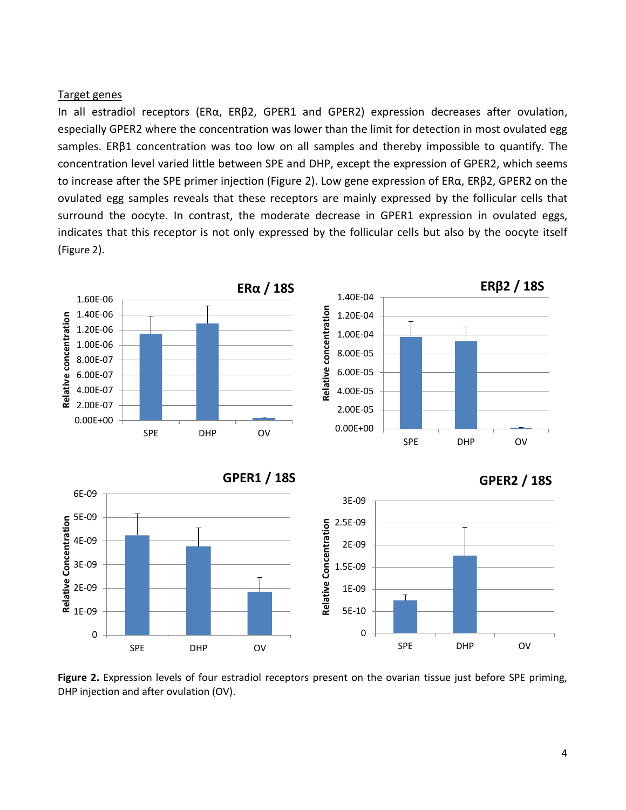#### Target genes

In all estradiol receptors (ERα, ERβ2, GPER1 and GPER2) expression decreases after ovulation, especially GPER2 where the concentration was lower than the limit for detection in most ovulated egg samples. ERβ1 concentration was too low on all samples and thereby impossible to quantify. The concentration level varied little between SPE and DHP, except the expression of GPER2, which seems to increase after the SPE primer injection [\(Figure 2\)](#page-3-0). Low gene expression of ERα, ERβ2, GPER2 on the ovulated egg samples reveals that these receptors are mainly expressed by the follicular cells that surround the oocyte. In contrast, the moderate decrease in GPER1 expression in ovulated eggs, indicates that this receptor is not only expressed by the follicular cells but also by the oocyte itself [\(Figure 2\)](#page-3-0).



<span id="page-3-0"></span>**Figure 2.** Expression levels of four estradiol receptors present on the ovarian tissue just before SPE priming, DHP injection and after ovulation (OV).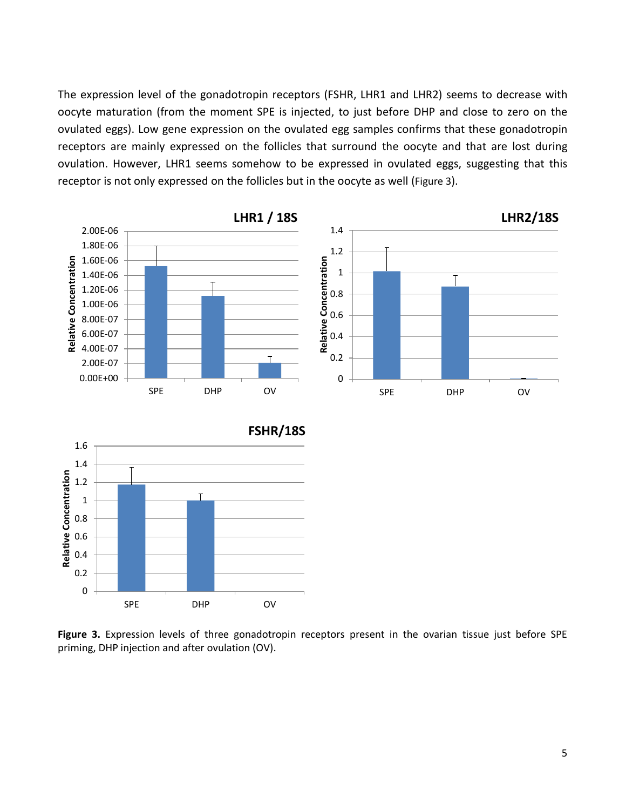The expression level of the gonadotropin receptors (FSHR, LHR1 and LHR2) seems to decrease with oocyte maturation (from the moment SPE is injected, to just before DHP and close to zero on the ovulated eggs). Low gene expression on the ovulated egg samples confirms that these gonadotropin receptors are mainly expressed on the follicles that surround the oocyte and that are lost during ovulation. However, LHR1 seems somehow to be expressed in ovulated eggs, suggesting that this receptor is not only expressed on the follicles but in the oocyte as well [\(Figure 3\)](#page-4-0).



<span id="page-4-0"></span>**Figure 3.** Expression levels of three gonadotropin receptors present in the ovarian tissue just before SPE priming, DHP injection and after ovulation (OV).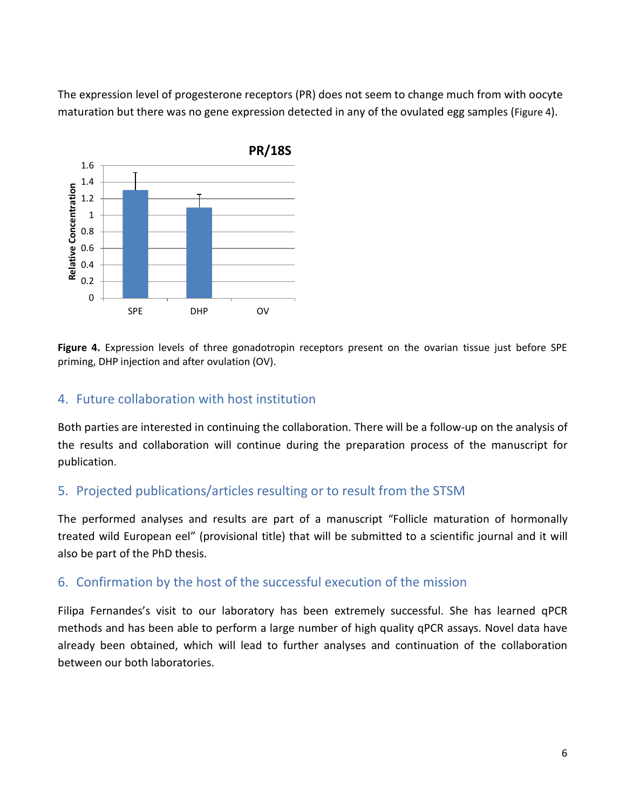The expression level of progesterone receptors (PR) does not seem to change much from with oocyte maturation but there was no gene expression detected in any of the ovulated egg samples [\(Figure 4\)](#page-5-0).



<span id="page-5-0"></span>**Figure 4.** Expression levels of three gonadotropin receptors present on the ovarian tissue just before SPE priming, DHP injection and after ovulation (OV).

## 4. Future collaboration with host institution

Both parties are interested in continuing the collaboration. There will be a follow-up on the analysis of the results and collaboration will continue during the preparation process of the manuscript for publication.

# 5. Projected publications/articles resulting or to result from the STSM

The performed analyses and results are part of a manuscript "Follicle maturation of hormonally treated wild European eel" (provisional title) that will be submitted to a scientific journal and it will also be part of the PhD thesis.

# 6. Confirmation by the host of the successful execution of the mission

Filipa Fernandes's visit to our laboratory has been extremely successful. She has learned qPCR methods and has been able to perform a large number of high quality qPCR assays. Novel data have already been obtained, which will lead to further analyses and continuation of the collaboration between our both laboratories.